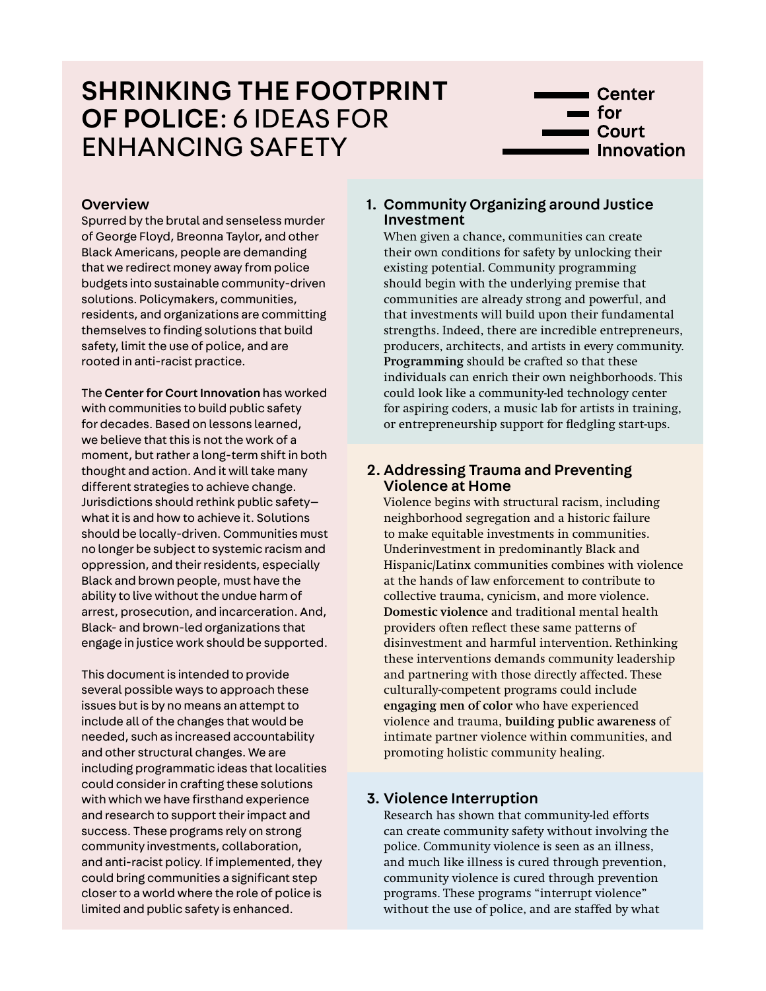# SHRINKING THE FOOTPRINT OF POLICE: 6 IDEAS FOR ENHANCING SAFETY



## **Overview**

Spurred by the brutal and senseless murder of George Floyd, Breonna Taylor, and other Black Americans, people are demanding that we redirect money away from police budgets into sustainable community-driven solutions. Policymakers, communities, residents, and organizations are committing themselves to finding solutions that build safety, limit the use of police, and are rooted in anti-racist practice.

The [Center for Court Innovation](https://www.courtinnovation.org/) has worked with communities to build public safety for decades. Based on lessons learned, we believe that this is not the work of a moment, but rather a long-term shift in both thought and action. And it will take many different strategies to achieve change. Jurisdictions should rethink public safety what it is and how to achieve it. Solutions should be locally-driven. Communities must no longer be subject to systemic racism and oppression, and their residents, especially Black and brown people, must have the ability to live without the undue harm of arrest, prosecution, and incarceration. And, Black- and brown-led organizations that engage in justice work should be supported.

This document is intended to provide several possible ways to approach these issues but is by no means an attempt to include all of the changes that would be needed, such as increased accountability and other structural changes. We are including programmatic ideas that localities could consider in crafting these solutions with which we have firsthand experience and research to support their impact and success. These programs rely on strong community investments, collaboration, and anti-racist policy. If implemented, they could bring communities a significant step closer to a world where the role of police is limited and public safety is enhanced.

# 1. [Community Organizing around Justice](https://www.courtinnovation.org/areas-of-focus/community-justice)  [Investment](https://www.courtinnovation.org/areas-of-focus/community-justice)

When given a chance, communities can create their own conditions for safety by unlocking their existing potential. Community programming should begin with the underlying premise that communities are already strong and powerful, and that investments will build upon their fundamental strengths. Indeed, there are incredible entrepreneurs, producers, architects, and artists in every community. **[Programming](https://www.courtinnovation.org/programs/brownsville-community-justice-center)** should be crafted so that these individuals can enrich their own neighborhoods. This could look like a community-led technology center for aspiring coders, a music lab for artists in training, or entrepreneurship support for fledgling start-ups.

# 2. [Addressing Trauma and Preventing](https://www.courtinnovation.org/areas-of-focus/reducing-trauma)  [Violence at Home](https://www.courtinnovation.org/areas-of-focus/reducing-trauma)

Violence begins with structural racism, including neighborhood segregation and a historic failure to make equitable investments in communities. Underinvestment in predominantly Black and Hispanic/Latinx communities combines with violence at the hands of law enforcement to contribute to collective trauma, cynicism, and more violence. **[Domestic violence](https://www.courtinnovation.org/areas-of-focus/domestic-violence)** and traditional mental health providers often reflect these same patterns of disinvestment and harmful intervention. Rethinking these interventions demands community leadership and partnering with those directly affected. These culturally-competent programs could include **[engaging men of color](https://www.courtinnovation.org/programs/make-it-happen)** who have experienced violence and trauma, **[building public awareness](https://www.courtinnovation.org/programs/rise-project)** of intimate partner violence within communities, and promoting holistic community healing.

# 3. [Violence Interruption](https://www.courtinnovation.org/areas-of-focus/reducing-violence)

Research has shown that community-led efforts can create community safety without involving the police. Community violence is seen as an illness, and much like illness is cured through prevention, community violence is cured through prevention programs. These programs "interrupt violence" without the use of police, and are staffed by what